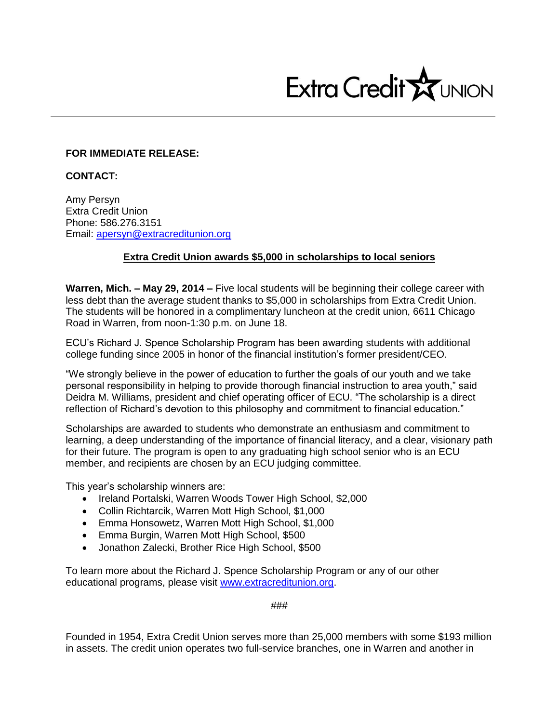

## **FOR IMMEDIATE RELEASE:**

**CONTACT:**

Amy Persyn Extra Credit Union Phone: 586.276.3151 Email: [apersyn@extracreditunion.org](mailto:apersyn@extracreditunion.org)

## **Extra Credit Union awards \$5,000 in scholarships to local seniors**

**Warren, Mich. – May 29, 2014 –** Five local students will be beginning their college career with less debt than the average student thanks to \$5,000 in scholarships from Extra Credit Union. The students will be honored in a complimentary luncheon at the credit union, 6611 Chicago Road in Warren, from noon-1:30 p.m. on June 18.

ECU's Richard J. Spence Scholarship Program has been awarding students with additional college funding since 2005 in honor of the financial institution's former president/CEO.

"We strongly believe in the power of education to further the goals of our youth and we take personal responsibility in helping to provide thorough financial instruction to area youth," said Deidra M. Williams, president and chief operating officer of ECU. "The scholarship is a direct reflection of Richard's devotion to this philosophy and commitment to financial education."

Scholarships are awarded to students who demonstrate an enthusiasm and commitment to learning, a deep understanding of the importance of financial literacy, and a clear, visionary path for their future. The program is open to any graduating high school senior who is an ECU member, and recipients are chosen by an ECU judging committee.

This year's scholarship winners are:

- Ireland Portalski, Warren Woods Tower High School, \$2,000
- Collin Richtarcik, Warren Mott High School, \$1,000
- Emma Honsowetz, Warren Mott High School, \$1,000
- Emma Burgin, Warren Mott High School, \$500
- Jonathon Zalecki, Brother Rice High School, \$500

To learn more about the Richard J. Spence Scholarship Program or any of our other educational programs, please visit [www.extracreditunion.org.](http://www.extracreditunion.org/)

###

Founded in 1954, Extra Credit Union serves more than 25,000 members with some \$193 million in assets. The credit union operates two full-service branches, one in Warren and another in